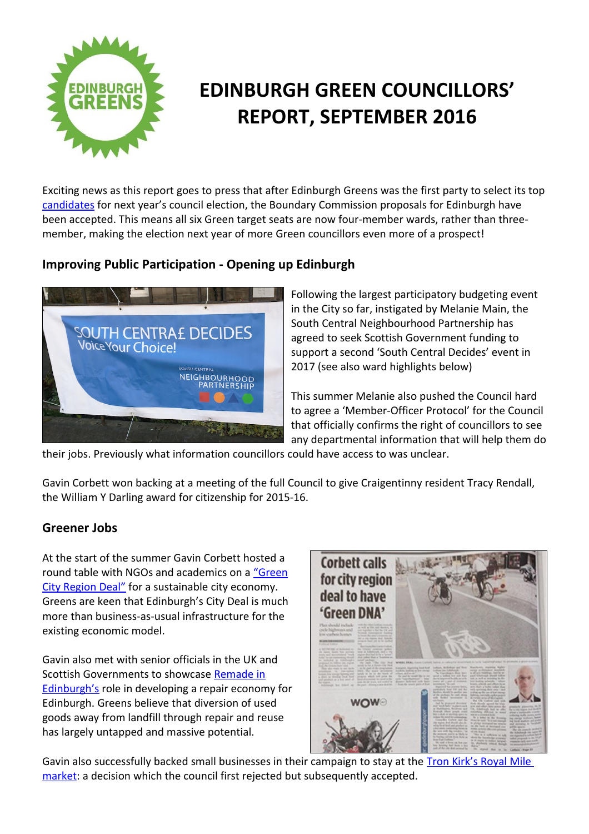

# **EDINBURGH GREEN COUNCILLORS' REPORT, SEPTEMBER 2016**

Exciting news as this report goes to press that after Edinburgh Greens was the first party to select its top [candidates](http://www.edinburghgreens.org.uk/site/councillors/candidates-2017/) for next year's council election, the Boundary Commission proposals for Edinburgh have been accepted. This means all six Green target seats are now four-member wards, rather than threemember, making the election next year of more Green councillors even more of a prospect!

# **Improving Public Participation - Opening up Edinburgh**



Following the largest participatory budgeting event in the City so far, instigated by Melanie Main, the South Central Neighbourhood Partnership has agreed to seek Scottish Government funding to support a second 'South Central Decides' event in 2017 (see also ward highlights below)

This summer Melanie also pushed the Council hard to agree a 'Member-Officer Protocol' for the Council that officially confirms the right of councillors to see any departmental information that will help them do

their jobs. Previously what information councillors could have access to was unclear.

Gavin Corbett won backing at a meeting of the full Council to give Craigentinny resident Tracy Rendall, the William Y Darling award for citizenship for 2015-16.

## **Greener Jobs**

At the start of the summer Gavin Corbett hosted a round table with NGOs and academics on a ["Green](file:///C:/Users/CCCP/Desktop/edinburghgreens.org.uk/%E2%80%A6/Edinburgh-City-Region-Deal-report-June-2016.pdf) [City Region Deal"](file:///C:/Users/CCCP/Desktop/edinburghgreens.org.uk/%E2%80%A6/Edinburgh-City-Region-Deal-report-June-2016.pdf) for a sustainable city economy. Greens are keen that Edinburgh's City Deal is much more than business-as-usual infrastructure for the existing economic model.

Gavin also met with senior officials in the UK and Scottish Governments to showcase [Remade in](http://wp.me/pYG8L-2hT) [Edinburgh's](http://wp.me/pYG8L-2hT) role in developing a repair economy for Edinburgh. Greens believe that diversion of used goods away from landfill through repair and reuse has largely untapped and massive potential.



Gavin also successfully backed small businesses in their campaign to stay at the Tron Kirk's Royal Mile [market:](http://www.edinburghgreens.org.uk/site/blog/tron/) a decision which the council first rejected but subsequently accepted.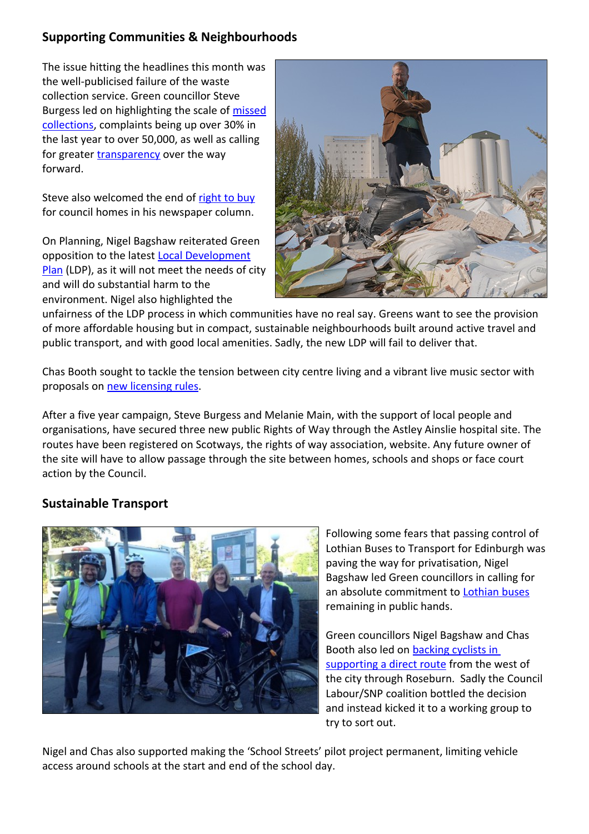## **Supporting Communities & Neighbourhoods**

The issue hitting the headlines this month was the well-publicised failure of the waste collection service. Green councillor Steve Burgess led on highlighting the scale of [missed](http://wp.me/pYG8L-2iy) [collections,](http://wp.me/pYG8L-2iy) complaints being up over 30% in the last year to over 50,000, as well as calling for greater [transparency](http://wp.me/pYG8L-2js) over the way forward.

Steve also welcomed the end of [right to buy](http://wp.me/pYG8L-2ik) for council homes in his newspaper column.

On Planning, Nigel Bagshaw reiterated Green opposition to the latest [Local Development](http://www.edinburghgreens.org.uk/site/news/greens-slam-ldp/) [Plan](http://www.edinburghgreens.org.uk/site/news/greens-slam-ldp/) (LDP), as it will not meet the needs of city and will do substantial harm to the environment. Nigel also highlighted the



unfairness of the LDP process in which communities have no real say. Greens want to see the provision of more affordable housing but in compact, sustainable neighbourhoods built around active travel and public transport, and with good local amenities. Sadly, the new LDP will fail to deliver that.

Chas Booth sought to tackle the tension between city centre living and a vibrant live music sector with proposals on [new licensing rules.](http://wp.me/pYG8L-2iG)

After a five year campaign, Steve Burgess and Melanie Main, with the support of local people and organisations, have secured three new public Rights of Way through the Astley Ainslie hospital site. The routes have been registered on Scotways, the rights of way association, website. Any future owner of the site will have to allow passage through the site between homes, schools and shops or face court action by the Council.

# **Sustainable Transport**



Following some fears that passing control of Lothian Buses to Transport for Edinburgh was paving the way for privatisation, Nigel Bagshaw led Green councillors in calling for an absolute commitment to [Lothian buses](http://wp.me/pYG8L-2jv) remaining in public hands.

Green councillors Nigel Bagshaw and Chas Booth also led on [backing cyclists in](http://wp.me/pYG8L-2iC)  [supporting a direct route](http://wp.me/pYG8L-2iC) from the west of the city through Roseburn. Sadly the Council Labour/SNP coalition bottled the decision and instead kicked it to a working group to try to sort out.

Nigel and Chas also supported making the 'School Streets' pilot project permanent, limiting vehicle access around schools at the start and end of the school day.